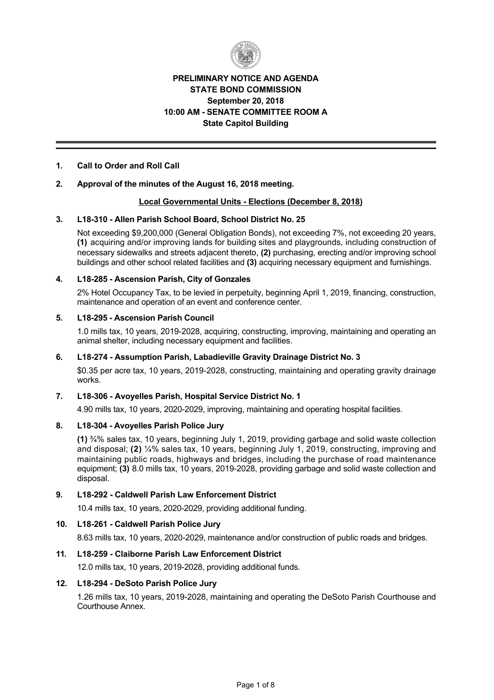

# **PRELIMINARY NOTICE AND AGENDA STATE BOND COMMISSION September 20, 2018 10:00 AM SENATE COMMITTEE ROOM A State Capitol Building**

# **1. Call to Order and Roll Call**

# **2. Approval of the minutes of the August 16, 2018 meeting.**

# **Local Governmental Units Elections (December 8, 2018)**

### **3. L18310 Allen Parish School Board, School District No. 25**

Not exceeding \$9,200,000 (General Obligation Bonds), not exceeding 7%, not exceeding 20 years, **(1)** acquiring and/or improving lands for building sites and playgrounds, including construction of necessary sidewalks and streets adjacent thereto, **(2)** purchasing, erecting and/or improving school buildings and other school related facilities and **(3)** acquiring necessary equipment and furnishings.

### **4. L18285 Ascension Parish, City of Gonzales**

2% Hotel Occupancy Tax, to be levied in perpetuity, beginning April 1, 2019, financing, construction, maintenance and operation of an event and conference center.

#### **5. L18295 Ascension Parish Council**

1.0 mills tax, 10 years, 2019-2028, acquiring, constructing, improving, maintaining and operating an animal shelter, including necessary equipment and facilities.

#### **6. L18274 Assumption Parish, Labadieville Gravity Drainage District No. 3**

\$0.35 per acre tax, 10 years, 2019-2028, constructing, maintaining and operating gravity drainage works.

### **7. L18306 Avoyelles Parish, Hospital Service District No. 1**

4.90 mills tax, 10 years, 2020-2029, improving, maintaining and operating hospital facilities.

# **8. L18304 Avoyelles Parish Police Jury**

**(1)** ¾% sales tax, 10 years, beginning July 1, 2019, providing garbage and solid waste collection and disposal; **(2)** ¼% sales tax, 10 years, beginning July 1, 2019, constructing, improving and maintaining public roads, highways and bridges, including the purchase of road maintenance equipment; **(3)** 8.0 mills tax, 10 years, 2019-2028, providing garbage and solid waste collection and disposal.

# **9. L18292 Caldwell Parish Law Enforcement District**

10.4 mills tax, 10 years, 2020-2029, providing additional funding.

### **10. L18261 Caldwell Parish Police Jury**

8.63 mills tax, 10 years, 2020-2029, maintenance and/or construction of public roads and bridges.

# **11. L18259 Claiborne Parish Law Enforcement District**

12.0 mills tax, 10 years, 2019-2028, providing additional funds.

#### **12. L18294 DeSoto Parish Police Jury**

1.26 mills tax, 10 years, 2019-2028, maintaining and operating the DeSoto Parish Courthouse and Courthouse Annex.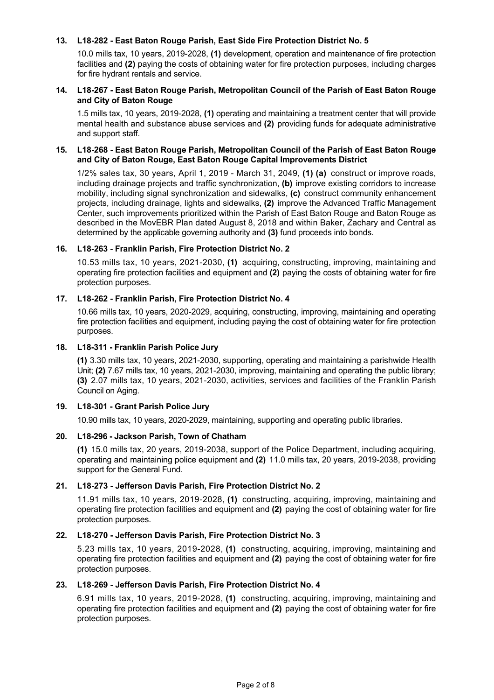# **13. L18282 East Baton Rouge Parish, East Side Fire Protection District No. 5**

10.0 mills tax, 10 years, 20192028, **(1)** development, operation and maintenance of fire protection facilities and **(2)** paying the costs of obtaining water for fire protection purposes, including charges for fire hydrant rentals and service.

### **14. L18267 East Baton Rouge Parish, Metropolitan Council of the Parish of East Baton Rouge and City of Baton Rouge**

1.5 mills tax, 10 years, 2019-2028, (1) operating and maintaining a treatment center that will provide mental health and substance abuse services and **(2)** providing funds for adequate administrative and support staff.

### **15. L18268 East Baton Rouge Parish, Metropolitan Council of the Parish of East Baton Rouge and City of Baton Rouge, East Baton Rouge Capital Improvements District**

1/2% sales tax, 30 years, April 1, 2019 March 31, 2049, **(1) (a)** construct or improve roads, including drainage projects and traffic synchronization, **(b)** improve existing corridors to increase mobility, including signal synchronization and sidewalks, **(c)** construct community enhancement projects, including drainage, lights and sidewalks, **(2)** improve the Advanced Traffic Management Center, such improvements prioritized within the Parish of East Baton Rouge and Baton Rouge as described in the MovEBR Plan dated August 8, 2018 and within Baker, Zachary and Central as determined by the applicable governing authority and **(3)** fund proceeds into bonds.

# **16. L18263 Franklin Parish, Fire Protection District No. 2**

10.53 mills tax, 10 years, 2021-2030, (1) acquiring, constructing, improving, maintaining and operating fire protection facilities and equipment and **(2)** paying the costs of obtaining water for fire protection purposes.

# 17. L18-262 - Franklin Parish, Fire Protection District No. 4

10.66 mills tax, 10 years, 2020-2029, acquiring, constructing, improving, maintaining and operating fire protection facilities and equipment, including paying the cost of obtaining water for fire protection purposes.

### **18. L18311 Franklin Parish Police Jury**

**(1)** 3.30 mills tax, 10 years, 20212030, supporting, operating and maintaining a parishwide Health Unit; **(2)** 7.67 mills tax, 10 years, 2021-2030, improving, maintaining and operating the public library; **(3)** 2.07 mills tax, 10 years, 2021-2030, activities, services and facilities of the Franklin Parish Council on Aging.

# **19. L18301 Grant Parish Police Jury**

10.90 mills tax, 10 years, 2020-2029, maintaining, supporting and operating public libraries.

#### **20. L18296 Jackson Parish, Town of Chatham**

**(1)** 15.0 mills tax, 20 years, 20192038, support of the Police Department, including acquiring, operating and maintaining police equipment and (2) 11.0 mills tax, 20 years, 2019-2038, providing support for the General Fund.

# **21. L18273 Jefferson Davis Parish, Fire Protection District No. 2**

11.91 mills tax, 10 years, 20192028, **(1)** constructing, acquiring, improving, maintaining and operating fire protection facilities and equipment and **(2)** paying the cost of obtaining water for fire protection purposes.

### **22. L18270 Jefferson Davis Parish, Fire Protection District No. 3**

5.23 mills tax, 10 years, 2019-2028, (1) constructing, acquiring, improving, maintaining and operating fire protection facilities and equipment and **(2)** paying the cost of obtaining water for fire protection purposes.

#### **23. L18269 Jefferson Davis Parish, Fire Protection District No. 4**

6.91 mills tax, 10 years, 2019-2028, (1) constructing, acquiring, improving, maintaining and operating fire protection facilities and equipment and **(2)** paying the cost of obtaining water for fire protection purposes.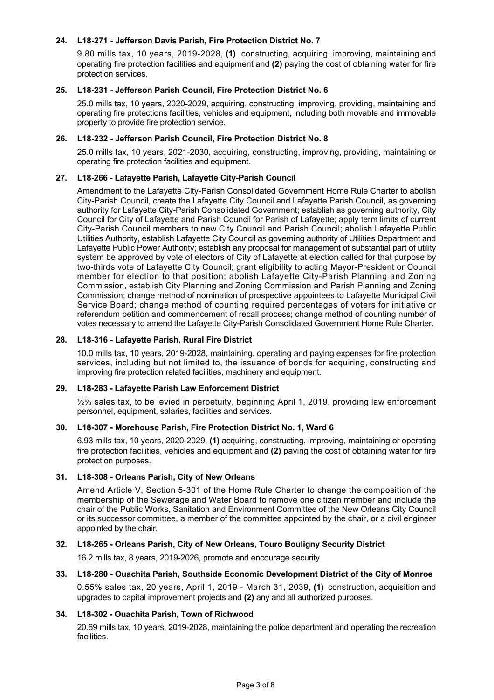# 24. L18-271 - Jefferson Davis Parish, Fire Protection District No. 7

9.80 mills tax, 10 years, 2019-2028, (1) constructing, acquiring, improving, maintaining and operating fire protection facilities and equipment and **(2)** paying the cost of obtaining water for fire protection services.

# **25. L18231 Jefferson Parish Council, Fire Protection District No. 6**

25.0 mills tax, 10 years, 2020-2029, acquiring, constructing, improving, providing, maintaining and operating fire protections facilities, vehicles and equipment, including both movable and immovable property to provide fire protection service.

### **26. L18232 Jefferson Parish Council, Fire Protection District No. 8**

25.0 mills tax, 10 years, 2021-2030, acquiring, constructing, improving, providing, maintaining or operating fire protection facilities and equipment.

# 27. L18-266 - Lafayette Parish, Lafayette City-Parish Council

Amendment to the Lafayette City-Parish Consolidated Government Home Rule Charter to abolish CityParish Council, create the Lafayette City Council and Lafayette Parish Council, as governing authority for Lafayette City-Parish Consolidated Government; establish as governing authority, City Council for City of Lafayette and Parish Council for Parish of Lafayette; apply term limits of current City-Parish Council members to new City Council and Parish Council; abolish Lafayette Public Utilities Authority, establish Lafayette City Council as governing authority of Utilities Department and Lafayette Public Power Authority; establish any proposal for management of substantial part of utility system be approved by vote of electors of City of Lafayette at election called for that purpose by two-thirds vote of Lafayette City Council; grant eligibility to acting Mayor-President or Council member for election to that position; abolish Lafayette City-Parish Planning and Zoning Commission, establish City Planning and Zoning Commission and Parish Planning and Zoning Commission; change method of nomination of prospective appointees to Lafayette Municipal Civil Service Board; change method of counting required percentages of voters for initiative or referendum petition and commencement of recall process; change method of counting number of votes necessary to amend the Lafayette City-Parish Consolidated Government Home Rule Charter.

### **28. L18316 Lafayette Parish, Rural Fire District**

10.0 mills tax, 10 years, 2019-2028, maintaining, operating and paying expenses for fire protection services, including but not limited to, the issuance of bonds for acquiring, constructing and improving fire protection related facilities, machinery and equipment.

#### **29. L18283 Lafayette Parish Law Enforcement District**

½% sales tax, to be levied in perpetuity, beginning April 1, 2019, providing law enforcement personnel, equipment, salaries, facilities and services.

#### **30. L18307 Morehouse Parish, Fire Protection District No. 1, Ward 6**

6.93 mills tax, 10 years, 2020-2029, (1) acquiring, constructing, improving, maintaining or operating fire protection facilities, vehicles and equipment and **(2)** paying the cost of obtaining water for fire protection purposes.

# **31. L18308 Orleans Parish, City of New Orleans**

Amend Article V. Section 5-301 of the Home Rule Charter to change the composition of the membership of the Sewerage and Water Board to remove one citizen member and include the chair of the Public Works, Sanitation and Environment Committee of the New Orleans City Council or its successor committee, a member of the committee appointed by the chair, or a civil engineer appointed by the chair.

# **32. L18265 Orleans Parish, City of New Orleans, Touro Bouligny Security District**

16.2 mills tax, 8 years, 2019-2026, promote and encourage security

# **33. L18280 Ouachita Parish, Southside Economic Development District of the City of Monroe**

0.55% sales tax, 20 years, April 1, 2019 March 31, 2039, **(1)** construction, acquisition and upgrades to capital improvement projects and **(2)** any and all authorized purposes.

# **34. L18302 Ouachita Parish, Town of Richwood**

20.69 mills tax, 10 years, 2019-2028, maintaining the police department and operating the recreation facilities.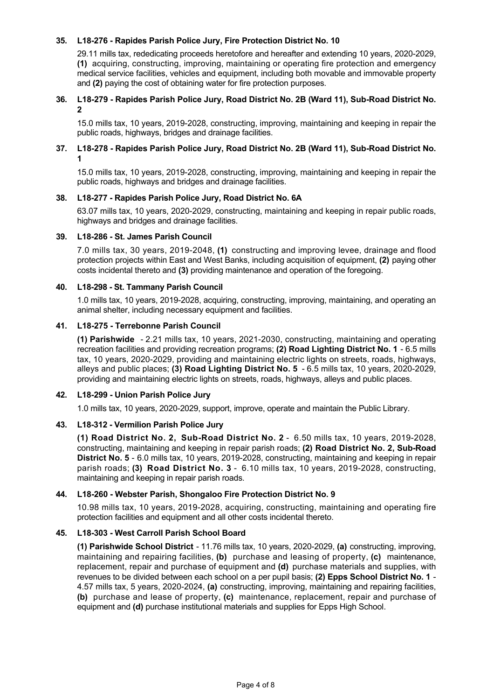# **35. L18276 Rapides Parish Police Jury, Fire Protection District No. 10**

29.11 mills tax, rededicating proceeds heretofore and hereafter and extending 10 years, 2020-2029, **(1)** acquiring, constructing, improving, maintaining or operating fire protection and emergency medical service facilities, vehicles and equipment, including both movable and immovable property and **(2)** paying the cost of obtaining water for fire protection purposes.

### **36. L18-279 - Rapides Parish Police Jury, Road District No. 2B (Ward 11), Sub-Road District No. 2**

15.0 mills tax, 10 years, 2019-2028, constructing, improving, maintaining and keeping in repair the public roads, highways, bridges and drainage facilities.

### 37. L18-278 - Rapides Parish Police Jury, Road District No. 2B (Ward 11), Sub-Road District No. **1**

15.0 mills tax, 10 years, 2019-2028, constructing, improving, maintaining and keeping in repair the public roads, highways and bridges and drainage facilities.

#### **38. L18277 Rapides Parish Police Jury, Road District No. 6A**

63.07 mills tax, 10 years, 2020-2029, constructing, maintaining and keeping in repair public roads, highways and bridges and drainage facilities.

#### **39. L18286 St. James Parish Council**

7.0 mills tax, 30 years, 2019-2048, (1) constructing and improving levee, drainage and flood protection projects within East and West Banks, including acquisition of equipment, **(2)** paying other costs incidental thereto and **(3)** providing maintenance and operation of the foregoing.

### **40. L18298 St. Tammany Parish Council**

1.0 mills tax, 10 years, 2019-2028, acquiring, constructing, improving, maintaining, and operating an animal shelter, including necessary equipment and facilities.

### **41. L18275 Terrebonne Parish Council**

**(1) Parishwide** - 2.21 mills tax, 10 years, 2021-2030, constructing, maintaining and operating recreation facilities and providing recreation programs; **(2) Road Lighting District No. 1** 6.5 mills tax, 10 years, 2020-2029, providing and maintaining electric lights on streets, roads, highways, alleys and public places; **(3) Road Lighting District No. 5** - 6.5 mills tax, 10 years, 2020-2029, providing and maintaining electric lights on streets, roads, highways, alleys and public places.

#### **42. L18299 Union Parish Police Jury**

1.0 mills tax, 10 years, 2020-2029, support, improve, operate and maintain the Public Library.

#### **43. L18312 Vermilion Parish Police Jury**

**(1) Road District No. 2, Sub-Road District No. 2 - 6.50 mills tax, 10 years, 2019-2028,** constructing, maintaining and keeping in repair parish roads; **(2) Road District No. 2, SubRoad District No. 5** - 6.0 mills tax, 10 years, 2019-2028, constructing, maintaining and keeping in repair parish roads; (3) Road District No. 3 - 6.10 mills tax, 10 years, 2019-2028, constructing, maintaining and keeping in repair parish roads.

#### **44. L18260 Webster Parish, Shongaloo Fire Protection District No. 9**

10.98 mills tax, 10 years, 2019-2028, acquiring, constructing, maintaining and operating fire protection facilities and equipment and all other costs incidental thereto.

#### **45. L18303 West Carroll Parish School Board**

**(1) Parishwide School District** - 11.76 mills tax, 10 years, 2020-2029, (a) constructing, improving, maintaining and repairing facilities, **(b)** purchase and leasing of property, **(c)** maintenance, replacement, repair and purchase of equipment and **(d)** purchase materials and supplies, with revenues to be divided between each school on a per pupil basis; **(2) Epps School District No. 1** 4.57 mills tax, 5 years, 2020-2024, (a) constructing, improving, maintaining and repairing facilities, **(b)** purchase and lease of property, **(c)** maintenance, replacement, repair and purchase of equipment and **(d)** purchase institutional materials and supplies for Epps High School.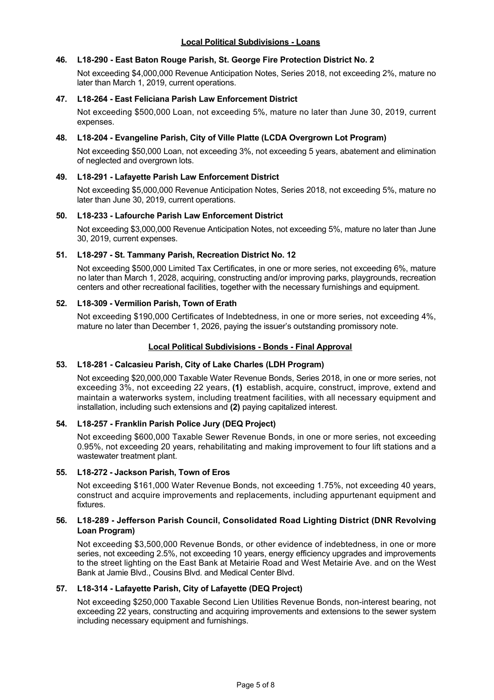# **46. L18290 East Baton Rouge Parish, St. George Fire Protection District No. 2**

Not exceeding \$4,000,000 Revenue Anticipation Notes, Series 2018, not exceeding 2%, mature no later than March 1, 2019, current operations.

# **47. L18264 East Feliciana Parish Law Enforcement District**

Not exceeding \$500,000 Loan, not exceeding 5%, mature no later than June 30, 2019, current expenses.

### **48. L18204 Evangeline Parish, City of Ville Platte (LCDA Overgrown Lot Program)**

Not exceeding \$50,000 Loan, not exceeding 3%, not exceeding 5 years, abatement and elimination of neglected and overgrown lots.

### **49. L18291 Lafayette Parish Law Enforcement District**

Not exceeding \$5,000,000 Revenue Anticipation Notes, Series 2018, not exceeding 5%, mature no later than June 30, 2019, current operations.

### **50. L18233 Lafourche Parish Law Enforcement District**

Not exceeding \$3,000,000 Revenue Anticipation Notes, not exceeding 5%, mature no later than June 30, 2019, current expenses.

### **51. L18297 St. Tammany Parish, Recreation District No. 12**

Not exceeding \$500,000 Limited Tax Certificates, in one or more series, not exceeding 6%, mature no later than March 1, 2028, acquiring, constructing and/or improving parks, playgrounds, recreation centers and other recreational facilities, together with the necessary furnishings and equipment.

### **52. L18309 Vermilion Parish, Town of Erath**

Not exceeding \$190,000 Certificates of Indebtedness, in one or more series, not exceeding 4%, mature no later than December 1, 2026, paying the issuer's outstanding promissory note.

### **Local Political Subdivisions - Bonds - Final Approval**

#### **53. L18281 Calcasieu Parish, City of Lake Charles (LDH Program)**

Not exceeding \$20,000,000 Taxable Water Revenue Bonds, Series 2018, in one or more series, not exceeding 3%, not exceeding 22 years, **(1)** establish, acquire, construct, improve, extend and maintain a waterworks system, including treatment facilities, with all necessary equipment and installation, including such extensions and **(2)** paying capitalized interest.

# **54. L18257 Franklin Parish Police Jury (DEQ Project)**

Not exceeding \$600,000 Taxable Sewer Revenue Bonds, in one or more series, not exceeding 0.95%, not exceeding 20 years, rehabilitating and making improvement to four lift stations and a wastewater treatment plant.

#### **55. L18272 Jackson Parish, Town of Eros**

Not exceeding \$161,000 Water Revenue Bonds, not exceeding 1.75%, not exceeding 40 years, construct and acquire improvements and replacements, including appurtenant equipment and fixtures.

### **56. L18289 Jefferson Parish Council, Consolidated Road Lighting District (DNR Revolving Loan Program)**

Not exceeding \$3,500,000 Revenue Bonds, or other evidence of indebtedness, in one or more series, not exceeding 2.5%, not exceeding 10 years, energy efficiency upgrades and improvements to the street lighting on the East Bank at Metairie Road and West Metairie Ave. and on the West Bank at Jamie Blvd., Cousins Blvd. and Medical Center Blvd.

# **57. L18314 Lafayette Parish, City of Lafayette (DEQ Project)**

Not exceeding \$250,000 Taxable Second Lien Utilities Revenue Bonds, non-interest bearing, not exceeding 22 years, constructing and acquiring improvements and extensions to the sewer system including necessary equipment and furnishings.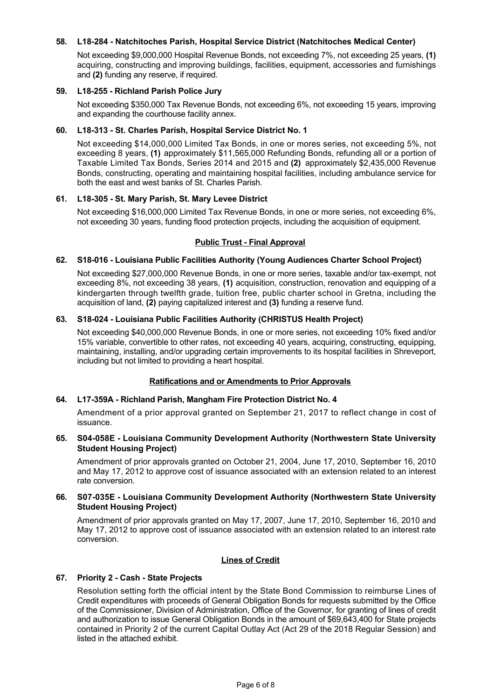# **58. L18284 Natchitoches Parish, Hospital Service District (Natchitoches Medical Center)**

Not exceeding \$9,000,000 Hospital Revenue Bonds, not exceeding 7%, not exceeding 25 years, **(1)** acquiring, constructing and improving buildings, facilities, equipment, accessories and furnishings and **(2)** funding any reserve, if required.

### **59. L18255 Richland Parish Police Jury**

Not exceeding \$350,000 Tax Revenue Bonds, not exceeding 6%, not exceeding 15 years, improving and expanding the courthouse facility annex.

### **60. L18313 St. Charles Parish, Hospital Service District No. 1**

Not exceeding \$14,000,000 Limited Tax Bonds, in one or mores series, not exceeding 5%, not exceeding 8 years, **(1)** approximately \$11,565,000 Refunding Bonds, refunding all or a portion of Taxable Limited Tax Bonds, Series 2014 and 2015 and **(2)** approximately \$2,435,000 Revenue Bonds, constructing, operating and maintaining hospital facilities, including ambulance service for both the east and west banks of St. Charles Parish.

### **61. L18305 St. Mary Parish, St. Mary Levee District**

Not exceeding \$16,000,000 Limited Tax Revenue Bonds, in one or more series, not exceeding 6%, not exceeding 30 years, funding flood protection projects, including the acquisition of equipment.

### **Public Trust - Final Approval**

### **62. S18016 Louisiana Public Facilities Authority (Young Audiences Charter School Project)**

Not exceeding \$27,000,000 Revenue Bonds, in one or more series, taxable and/or tax-exempt, not exceeding 8%, not exceeding 38 years, **(1)** acquisition, construction, renovation and equipping of a kindergarten through twelfth grade, tuition free, public charter school in Gretna, including the acquisition of land, **(2)** paying capitalized interest and **(3)** funding a reserve fund.

### **63. S18024 Louisiana Public Facilities Authority (CHRISTUS Health Project)**

Not exceeding \$40,000,000 Revenue Bonds, in one or more series, not exceeding 10% fixed and/or 15% variable, convertible to other rates, not exceeding 40 years, acquiring, constructing, equipping, maintaining, installing, and/or upgrading certain improvements to its hospital facilities in Shreveport, including but not limited to providing a heart hospital.

#### **Ratifications and or Amendments to Prior Approvals**

#### **64. L17359A Richland Parish, Mangham Fire Protection District No. 4**

Amendment of a prior approval granted on September 21, 2017 to reflect change in cost of issuance.

### **65. S04058E Louisiana Community Development Authority (Northwestern State University Student Housing Project)**

Amendment of prior approvals granted on October 21, 2004, June 17, 2010, September 16, 2010 and May 17, 2012 to approve cost of issuance associated with an extension related to an interest rate conversion.

### **66. S07035E Louisiana Community Development Authority (Northwestern State University Student Housing Project)**

Amendment of prior approvals granted on May 17, 2007, June 17, 2010, September 16, 2010 and May 17, 2012 to approve cost of issuance associated with an extension related to an interest rate conversion.

### **Lines of Credit**

# **67. Priority 2 Cash State Projects**

Resolution setting forth the official intent by the State Bond Commission to reimburse Lines of Credit expenditures with proceeds of General Obligation Bonds for requests submitted by the Office of the Commissioner, Division of Administration, Office of the Governor, for granting of lines of credit and authorization to issue General Obligation Bonds in the amount of \$69,643,400 for State projects contained in Priority 2 of the current Capital Outlay Act (Act 29 of the 2018 Regular Session) and listed in the attached exhibit.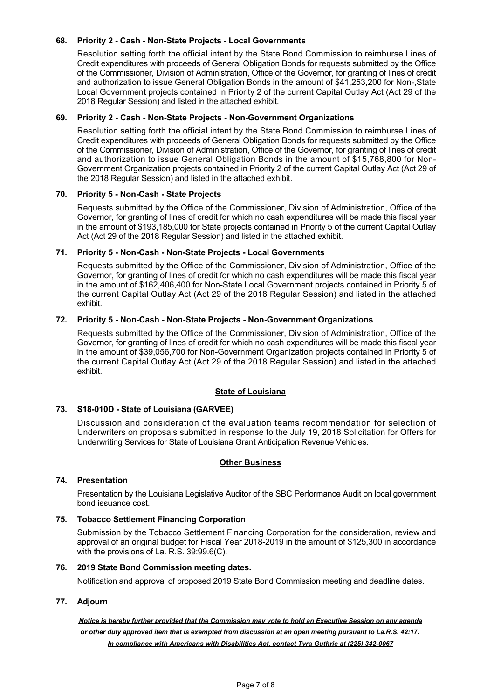# 68. Priority 2 - Cash - Non-State Projects - Local Governments

Resolution setting forth the official intent by the State Bond Commission to reimburse Lines of Credit expenditures with proceeds of General Obligation Bonds for requests submitted by the Office of the Commissioner, Division of Administration, Office of the Governor, for granting of lines of credit and authorization to issue General Obligation Bonds in the amount of \$41,253,200 for Non-, State Local Government projects contained in Priority 2 of the current Capital Outlay Act (Act 29 of the 2018 Regular Session) and listed in the attached exhibit.

### **69. Priority 2 Cash NonState Projects NonGovernment Organizations**

Resolution setting forth the official intent by the State Bond Commission to reimburse Lines of Credit expenditures with proceeds of General Obligation Bonds for requests submitted by the Office of the Commissioner, Division of Administration, Office of the Governor, for granting of lines of credit and authorization to issue General Obligation Bonds in the amount of \$15,768,800 for Non-Government Organization projects contained in Priority 2 of the current Capital Outlay Act (Act 29 of the 2018 Regular Session) and listed in the attached exhibit.

# **70. Priority 5 NonCash State Projects**

Requests submitted by the Office of the Commissioner, Division of Administration, Office of the Governor, for granting of lines of credit for which no cash expenditures will be made this fiscal year in the amount of \$193,185,000 for State projects contained in Priority 5 of the current Capital Outlay Act (Act 29 of the 2018 Regular Session) and listed in the attached exhibit.

### 71. Priority 5 - Non-Cash - Non-State Projects - Local Governments

Requests submitted by the Office of the Commissioner, Division of Administration, Office of the Governor, for granting of lines of credit for which no cash expenditures will be made this fiscal year in the amount of \$162,406,400 for Non-State Local Government projects contained in Priority 5 of the current Capital Outlay Act (Act 29 of the 2018 Regular Session) and listed in the attached exhibit.

### 72. Priority 5 - Non-Cash - Non-State Projects - Non-Government Organizations

Requests submitted by the Office of the Commissioner, Division of Administration, Office of the Governor, for granting of lines of credit for which no cash expenditures will be made this fiscal year in the amount of \$39,056,700 for Non-Government Organization projects contained in Priority 5 of the current Capital Outlay Act (Act 29 of the 2018 Regular Session) and listed in the attached exhibit.

# **State of Louisiana**

#### 73. S18-010D - State of Louisiana (GARVEE)

Discussion and consideration of the evaluation teams recommendation for selection of Underwriters on proposals submitted in response to the July 19, 2018 Solicitation for Offers for Underwriting Services for State of Louisiana Grant Anticipation Revenue Vehicles.

# **Other Business**

#### **74. Presentation**

Presentation by the Louisiana Legislative Auditor of the SBC Performance Audit on local government bond issuance cost.

#### **75. Tobacco Settlement Financing Corporation**

Submission by the Tobacco Settlement Financing Corporation for the consideration, review and approval of an original budget for Fiscal Year 2018-2019 in the amount of \$125,300 in accordance with the provisions of La. R.S. 39:99.6(C).

# **76. 2019 State Bond Commission meeting dates.**

Notification and approval of proposed 2019 State Bond Commission meeting and deadline dates.

# **77. Adjourn**

*Notice is hereby further provided that the Commission may vote to hold an Executive Session on any agenda or other duly approved item that is exempted from discussion at an open meeting pursuant to La.R.S. 42:17. In compliance with Americans with Disabilities Act, contact Tyra Guthrie at (225) 3420067*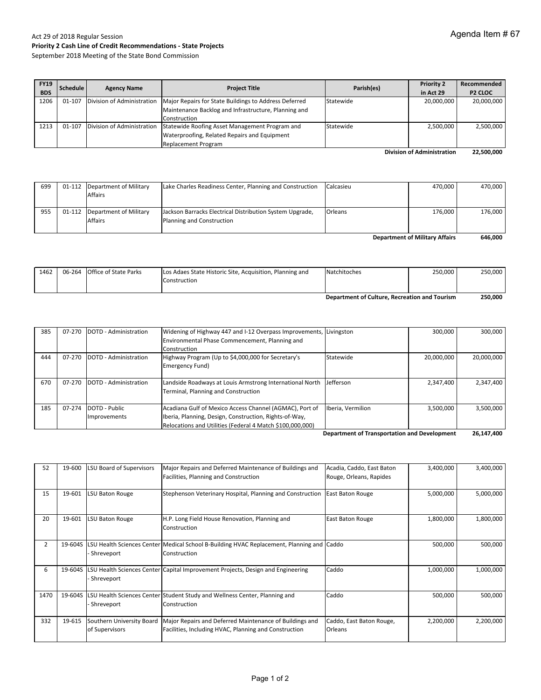# Act 29 of 2018 Regular Session **Priority 2 Cash Line of Credit Recommendations ‐ State Projects**

September 2018 Meeting of the State Bond Commission

| <b>FY19</b><br><b>BDS</b> | <b>Schedule</b> | <b>Agency Name</b> | <b>Project Title</b>                                                               | Parish(es) | <b>Priority 2</b><br>in Act 29 | Recommended<br><b>P2 CLOC</b> |
|---------------------------|-----------------|--------------------|------------------------------------------------------------------------------------|------------|--------------------------------|-------------------------------|
|                           |                 |                    |                                                                                    |            |                                |                               |
| 1206                      | 01-107          |                    | Division of Administration   Major Repairs for State Buildings to Address Deferred | Statewide  | 20,000,000                     | 20,000,000                    |
|                           |                 |                    | Maintenance Backlog and Infrastructure, Planning and                               |            |                                |                               |
|                           |                 |                    | Construction                                                                       |            |                                |                               |
| 1213                      | 01-107          |                    | Division of Administration Statewide Roofing Asset Management Program and          | Statewide  | 2,500,000                      | 2,500,000                     |
|                           |                 |                    | Waterproofing, Related Repairs and Equipment                                       |            |                                |                               |
|                           |                 |                    | <b>Replacement Program</b>                                                         |            |                                |                               |

**22,500,000 Division of Administration**

| 699                                   |  | 01-112 Department of Military | Lake Charles Readiness Center, Planning and Construction | Calcasieu | 470.000 | 470.000 |
|---------------------------------------|--|-------------------------------|----------------------------------------------------------|-----------|---------|---------|
|                                       |  | <b>Affairs</b>                |                                                          |           |         |         |
|                                       |  |                               |                                                          |           |         |         |
| 955                                   |  | 01-112 Department of Military | Jackson Barracks Electrical Distribution System Upgrade, | Orleans   | 176.000 | 176.000 |
|                                       |  | <b>Affairs</b>                | Planning and Construction                                |           |         |         |
|                                       |  |                               |                                                          |           |         |         |
| <b>Department of Military Affairs</b> |  |                               |                                                          |           | 646.000 |         |

|      |                              |                                                                          | Department of Culture, Recreation and Tourism |         | 250.000 |
|------|------------------------------|--------------------------------------------------------------------------|-----------------------------------------------|---------|---------|
| 1462 | 06-264 Office of State Parks | Los Adaes State Historic Site, Acquisition, Planning and<br>Construction | Natchitoches                                  | 250.000 | 250.000 |

| 385 | 07-270 | DOTD - Administration | Widening of Highway 447 and I-12 Overpass Improvements, Livingston |                   | 300,000    | 300,000    |
|-----|--------|-----------------------|--------------------------------------------------------------------|-------------------|------------|------------|
|     |        |                       | Environmental Phase Commencement, Planning and                     |                   |            |            |
|     |        |                       | Construction                                                       |                   |            |            |
| 444 | 07-270 | DOTD - Administration | Highway Program (Up to \$4,000,000 for Secretary's                 | Statewide         | 20,000,000 | 20,000,000 |
|     |        |                       | Emergency Fund)                                                    |                   |            |            |
|     |        |                       |                                                                    |                   |            |            |
| 670 | 07-270 | DOTD - Administration | Landside Roadways at Louis Armstrong International North           | <b>Jefferson</b>  | 2,347,400  | 2,347,400  |
|     |        |                       | Terminal, Planning and Construction                                |                   |            |            |
|     |        |                       |                                                                    |                   |            |            |
| 185 | 07-274 | DOTD - Public         | Acadiana Gulf of Mexico Access Channel (AGMAC), Port of            | Iberia, Vermilion | 3.500.000  | 3,500,000  |
|     |        | Improvements          | Iberia, Planning, Design, Construction, Rights-of-Way,             |                   |            |            |
|     |        |                       | Relocations and Utilities (Federal 4 Match \$100,000,000)          |                   |            |            |

**26,147,400 Department of Transportation and Development** 

| 52   | 19-600  | <b>LSU Board of Supervisors</b> | Major Repairs and Deferred Maintenance of Buildings and                                   | Acadia, Caddo, East Baton | 3,400,000 | 3,400,000 |
|------|---------|---------------------------------|-------------------------------------------------------------------------------------------|---------------------------|-----------|-----------|
|      |         |                                 | Facilities, Planning and Construction                                                     | Rouge, Orleans, Rapides   |           |           |
|      |         |                                 |                                                                                           |                           |           |           |
| 15   | 19-601  | <b>LSU Baton Rouge</b>          | Stephenson Veterinary Hospital, Planning and Construction                                 | <b>East Baton Rouge</b>   | 5,000,000 | 5,000,000 |
|      |         |                                 |                                                                                           |                           |           |           |
| 20   | 19-601  | <b>LSU Baton Rouge</b>          | H.P. Long Field House Renovation, Planning and                                            | <b>East Baton Rouge</b>   | 1,800,000 | 1,800,000 |
|      |         |                                 | Construction                                                                              |                           |           |           |
|      |         |                                 |                                                                                           |                           |           |           |
| 2    | 19-604S |                                 | LSU Health Sciences Center Medical School B-Building HVAC Replacement, Planning and Caddo |                           | 500,000   | 500,000   |
|      |         | Shreveport                      | Construction                                                                              |                           |           |           |
|      |         |                                 |                                                                                           |                           |           |           |
| 6    | 19-604S |                                 | LSU Health Sciences Center Capital Improvement Projects, Design and Engineering           | Caddo                     | 1,000,000 | 1,000,000 |
|      |         | Shreveport                      |                                                                                           |                           |           |           |
|      |         |                                 |                                                                                           |                           |           |           |
| 1470 | 19-604S |                                 | LSU Health Sciences Center Student Study and Wellness Center, Planning and                | Caddo                     | 500,000   | 500,000   |
|      |         | Shreveport                      | Construction                                                                              |                           |           |           |
|      |         |                                 |                                                                                           |                           |           |           |
| 332  | 19-615  | Southern University Board       | Major Repairs and Deferred Maintenance of Buildings and                                   | Caddo, East Baton Rouge,  | 2,200,000 | 2,200,000 |
|      |         | of Supervisors                  | Facilities, Including HVAC, Planning and Construction                                     | Orleans                   |           |           |
|      |         |                                 |                                                                                           |                           |           |           |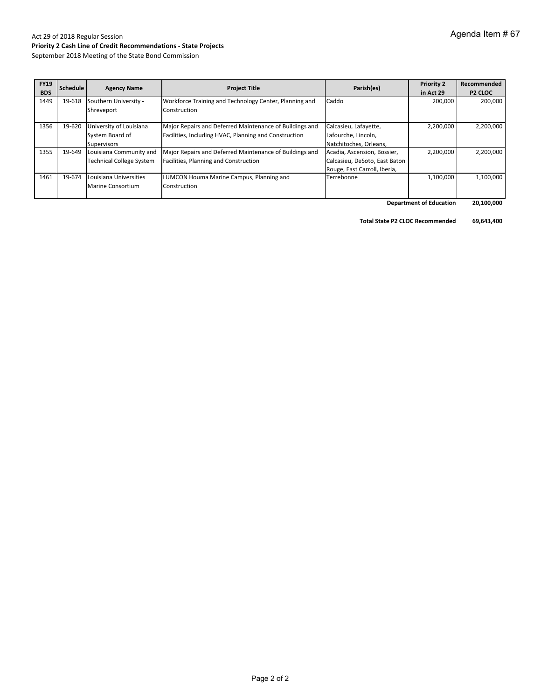# Act 29 of 2018 Regular Session **Priority 2 Cash Line of Credit Recommendations ‐ State Projects**

September 2018 Meeting of the State Bond Commission

| <b>FY19</b><br><b>BDS</b> | Schedule | <b>Agency Name</b>              | <b>Project Title</b>                                    | Parish(es)                    | <b>Priority 2</b> | Recommended    |
|---------------------------|----------|---------------------------------|---------------------------------------------------------|-------------------------------|-------------------|----------------|
|                           |          |                                 |                                                         |                               | in Act 29         | <b>P2 CLOC</b> |
| 1449                      | 19-618   | Southern University -           | Workforce Training and Technology Center, Planning and  | Caddo                         | 200,000           | 200,000        |
|                           |          | Shreveport                      | Construction                                            |                               |                   |                |
|                           |          |                                 |                                                         |                               |                   |                |
| 1356                      | 19-620   | University of Louisiana         | Major Repairs and Deferred Maintenance of Buildings and | Calcasieu, Lafayette,         | 2,200,000         | 2,200,000      |
|                           |          | System Board of                 | Facilities, Including HVAC, Planning and Construction   | Lafourche, Lincoln,           |                   |                |
|                           |          | Supervisors                     |                                                         | Natchitoches, Orleans,        |                   |                |
| 1355                      | 19-649   | Louisiana Community and         | Major Repairs and Deferred Maintenance of Buildings and | Acadia, Ascension, Bossier,   | 2,200,000         | 2,200,000      |
|                           |          | <b>Technical College System</b> | Facilities, Planning and Construction                   | Calcasieu, DeSoto, East Baton |                   |                |
|                           |          |                                 |                                                         | Rouge, East Carroll, Iberia,  |                   |                |
| 1461                      | 19-674   | Louisiana Universities          | LUMCON Houma Marine Campus, Planning and                | Terrebonne                    | 1,100,000         | 1,100,000      |
|                           |          | Marine Consortium               | Construction                                            |                               |                   |                |
|                           |          |                                 |                                                         |                               |                   |                |

 **20,100,000 Department of Education**

**Total State P2 CLOC Recommended 69,643,400**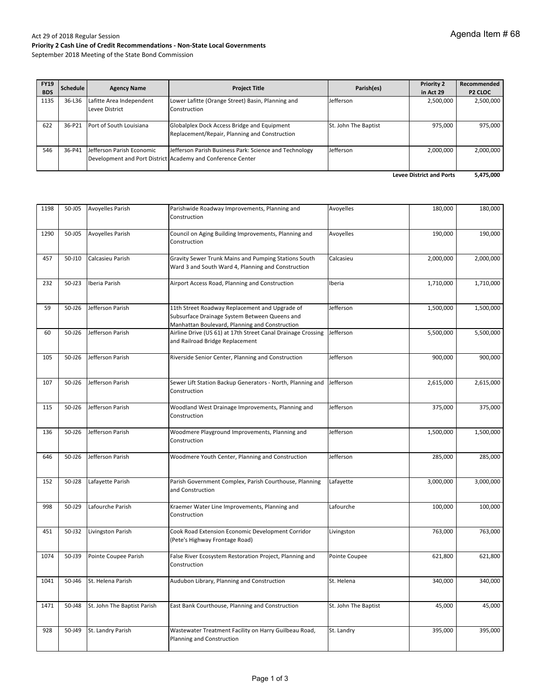| <b>FY19</b><br><b>BDS</b>       | Schedule | <b>Agency Name</b>                         | <b>Project Title</b>                                                                                                  | Parish(es)           | <b>Priority 2</b><br>in Act 29 | Recommended<br>P <sub>2</sub> CLOC |
|---------------------------------|----------|--------------------------------------------|-----------------------------------------------------------------------------------------------------------------------|----------------------|--------------------------------|------------------------------------|
| 1135                            | 36-L36   | Lafitte Area Independent<br>Levee District | Lower Lafitte (Orange Street) Basin, Planning and<br>Construction                                                     | Jefferson            | 2,500,000                      | 2,500,000                          |
| 622                             | 36-P21   | Port of South Louisiana                    | Globalplex Dock Access Bridge and Equipment<br>Replacement/Repair, Planning and Construction                          | St. John The Baptist | 975.000                        | 975,000                            |
| 546                             | 36-P41   | Jefferson Parish Economic                  | Jefferson Parish Business Park: Science and Technology<br>Development and Port District Academy and Conference Center | Jefferson            | 2,000,000                      | 2,000,000                          |
| <b>Levee District and Ports</b> |          |                                            |                                                                                                                       |                      |                                | 5,475,000                          |

| 1198 | 50-J05 | <b>Avoyelles Parish</b>     | Parishwide Roadway Improvements, Planning and<br>Construction                                                                                     | Avoyelles            | 180,000   | 180,000   |
|------|--------|-----------------------------|---------------------------------------------------------------------------------------------------------------------------------------------------|----------------------|-----------|-----------|
| 1290 | 50-J05 | <b>Avoyelles Parish</b>     | Council on Aging Building Improvements, Planning and<br>Construction                                                                              | Avoyelles            | 190,000   | 190,000   |
| 457  | 50-J10 | Calcasieu Parish            | Gravity Sewer Trunk Mains and Pumping Stations South<br>Ward 3 and South Ward 4, Planning and Construction                                        | Calcasieu            | 2,000,000 | 2,000,000 |
| 232  | 50-J23 | Iberia Parish               | Airport Access Road, Planning and Construction                                                                                                    | Iberia               | 1,710,000 | 1,710,000 |
| 59   | 50-J26 | Jefferson Parish            | 11th Street Roadway Replacement and Upgrade of<br>Subsurface Drainage System Between Queens and<br>Manhattan Boulevard, Planning and Construction | Jefferson            | 1,500,000 | 1,500,000 |
| 60   | 50-J26 | Jefferson Parish            | Airline Drive (US 61) at 17th Street Canal Drainage Crossing<br>and Railroad Bridge Replacement                                                   | Jefferson            | 5,500,000 | 5,500,000 |
| 105  | 50-J26 | Jefferson Parish            | Riverside Senior Center, Planning and Construction                                                                                                | Jefferson            | 900,000   | 900,000   |
| 107  | 50-J26 | Jefferson Parish            | Sewer Lift Station Backup Generators - North, Planning and<br>Construction                                                                        | Jefferson            | 2,615,000 | 2,615,000 |
| 115  | 50-J26 | Jefferson Parish            | Woodland West Drainage Improvements, Planning and<br>Construction                                                                                 | Jefferson            | 375,000   | 375,000   |
| 136  | 50-J26 | Jefferson Parish            | Woodmere Playground Improvements, Planning and<br>Construction                                                                                    | Jefferson            | 1,500,000 | 1,500,000 |
| 646  | 50-J26 | Jefferson Parish            | Woodmere Youth Center, Planning and Construction                                                                                                  | Jefferson            | 285,000   | 285,000   |
| 152  | 50-J28 | Lafayette Parish            | Parish Government Complex, Parish Courthouse, Planning<br>and Construction                                                                        | Lafayette            | 3,000,000 | 3,000,000 |
| 998  | 50-J29 | Lafourche Parish            | Kraemer Water Line Improvements, Planning and<br>Construction                                                                                     | Lafourche            | 100,000   | 100,000   |
| 451  | 50-J32 | Livingston Parish           | Cook Road Extension Economic Development Corridor<br>(Pete's Highway Frontage Road)                                                               | Livingston           | 763,000   | 763,000   |
| 1074 | 50-J39 | Pointe Coupee Parish        | False River Ecosystem Restoration Project, Planning and<br>Construction                                                                           | Pointe Coupee        | 621,800   | 621,800   |
| 1041 | 50-J46 | St. Helena Parish           | Audubon Library, Planning and Construction                                                                                                        | St. Helena           | 340,000   | 340,000   |
| 1471 | 50-J48 | St. John The Baptist Parish | East Bank Courthouse, Planning and Construction                                                                                                   | St. John The Baptist | 45,000    | 45,000    |
| 928  | 50-J49 | St. Landry Parish           | Wastewater Treatment Facility on Harry Guilbeau Road,<br>Planning and Construction                                                                | St. Landry           | 395,000   | 395,000   |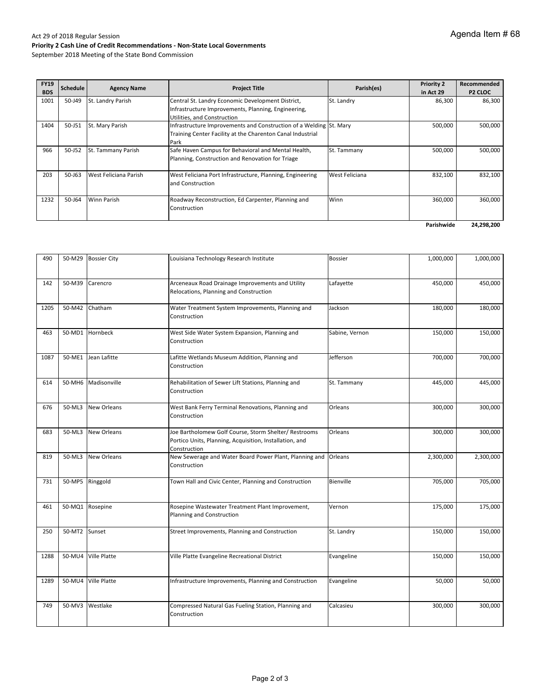| <b>FY19</b><br><b>BDS</b> | <b>Schedule</b> | <b>Agency Name</b>    | <b>Project Title</b>                                                                                                                     | Parish(es)     | <b>Priority 2</b><br>in Act 29 | Recommended<br><b>P2 CLOC</b> |
|---------------------------|-----------------|-----------------------|------------------------------------------------------------------------------------------------------------------------------------------|----------------|--------------------------------|-------------------------------|
| 1001                      | 50-J49          | St. Landry Parish     | Central St. Landry Economic Development District,<br>Infrastructure Improvements, Planning, Engineering,<br>Utilities, and Construction  | St. Landry     | 86,300                         | 86,300                        |
| 1404                      | 50-J51          | St. Mary Parish       | Infrastructure Improvements and Construction of a Welding St. Mary<br>Training Center Facility at the Charenton Canal Industrial<br>Park |                | 500,000                        | 500,000                       |
| 966                       | 50-J52          | St. Tammany Parish    | Safe Haven Campus for Behavioral and Mental Health,<br>Planning, Construction and Renovation for Triage                                  | St. Tammany    | 500,000                        | 500,000                       |
| 203                       | $50 - 163$      | West Feliciana Parish | West Feliciana Port Infrastructure, Planning, Engineering<br>and Construction                                                            | West Feliciana | 832,100                        | 832,100                       |
| 1232                      | 50-J64          | Winn Parish           | Roadway Reconstruction, Ed Carpenter, Planning and<br>Construction                                                                       | Winn           | 360,000                        | 360,000                       |
|                           |                 |                       |                                                                                                                                          |                | Parishwide                     | 24,298,200                    |

| 490  |                 | 50-M29 Bossier City | Louisiana Technology Research Institute                                                                                          | <b>Bossier</b> | 1,000,000 | 1,000,000 |
|------|-----------------|---------------------|----------------------------------------------------------------------------------------------------------------------------------|----------------|-----------|-----------|
| 142  | 50-M39          | Carencro            | Arceneaux Road Drainage Improvements and Utility<br>Relocations, Planning and Construction                                       | Lafayette      | 450,000   | 450,000   |
| 1205 | 50-M42          | Chatham             | Water Treatment System Improvements, Planning and<br>Construction                                                                | Jackson        | 180,000   | 180,000   |
| 463  |                 | 50-MD1 Hornbeck     | West Side Water System Expansion, Planning and<br>Construction                                                                   | Sabine, Vernon | 150,000   | 150,000   |
| 1087 |                 | 50-ME1 Jean Lafitte | Lafitte Wetlands Museum Addition, Planning and<br>Construction                                                                   | Jefferson      | 700,000   | 700,000   |
| 614  |                 | 50-MH6 Madisonville | Rehabilitation of Sewer Lift Stations, Planning and<br>Construction                                                              | St. Tammany    | 445,000   | 445,000   |
| 676  | 50-ML3          | New Orleans         | West Bank Ferry Terminal Renovations, Planning and<br>Construction                                                               | Orleans        | 300,000   | 300,000   |
| 683  | 50-ML3          | New Orleans         | Joe Bartholomew Golf Course, Storm Shelter/ Restrooms<br>Portico Units, Planning, Acquisition, Installation, and<br>Construction | Orleans        | 300,000   | 300,000   |
| 819  | 50-ML3          | <b>New Orleans</b>  | New Sewerage and Water Board Power Plant, Planning and<br>Construction                                                           | Orleans        | 2,300,000 | 2,300,000 |
| 731  | 50-MP5 Ringgold |                     | Town Hall and Civic Center, Planning and Construction                                                                            | Bienville      | 705,000   | 705,000   |
| 461  |                 | 50-MQ1 Rosepine     | Rosepine Wastewater Treatment Plant Improvement,<br>Planning and Construction                                                    | Vernon         | 175,000   | 175,000   |
| 250  | 50-MT2 Sunset   |                     | Street Improvements, Planning and Construction                                                                                   | St. Landry     | 150,000   | 150,000   |
| 1288 |                 | 50-MU4 Ville Platte | Ville Platte Evangeline Recreational District                                                                                    | Evangeline     | 150,000   | 150,000   |
| 1289 |                 | 50-MU4 Ville Platte | Infrastructure Improvements, Planning and Construction                                                                           | Evangeline     | 50,000    | 50,000    |
| 749  |                 | 50-MV3 Westlake     | Compressed Natural Gas Fueling Station, Planning and<br>Construction                                                             | Calcasieu      | 300,000   | 300,000   |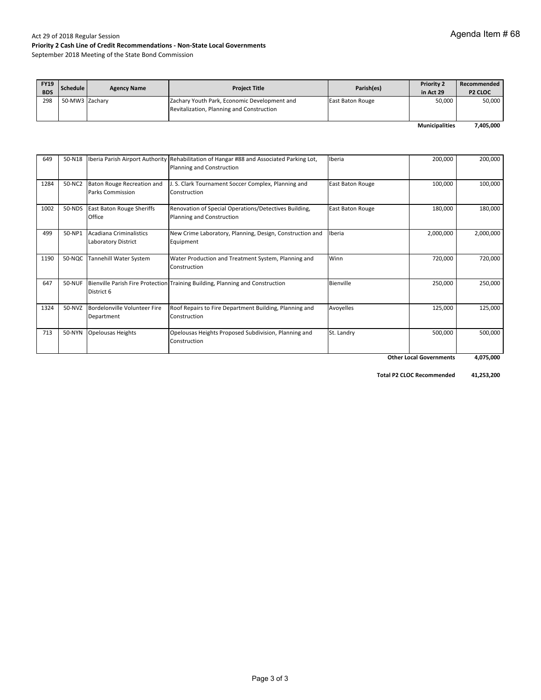September 2018 Meeting of the State Bond Commission

| <b>FY19</b><br><b>BDS</b> | Schedule       | <b>Agency Name</b> | <b>Project Title</b>                                                                      | Parish(es)              | <b>Priority 2</b><br>in Act 29 | Recommended<br><b>P2 CLOC</b> |
|---------------------------|----------------|--------------------|-------------------------------------------------------------------------------------------|-------------------------|--------------------------------|-------------------------------|
| 298                       | 50-MW3 Zachary |                    | Zachary Youth Park, Economic Development and<br>Revitalization, Planning and Construction | <b>East Baton Rouge</b> | 50,000                         | 50,000                        |
|                           |                |                    |                                                                                           |                         | <b>Municipalities</b>          | 7,405,000                     |

649 | 50-N18 |Iberia Parish Airport Authority Rehabilitation of Hangar #88 and Associated Parking Lot, Planning and Construction Iberia 200,000 200,000 1284 50-NC2 Baton Rouge Recreation and Parks Commission J. S. Clark Tournament Soccer Complex, Planning and Construction East Baton Rouge 100,000 100,000 1002 50-NDS East Baton Rouge Sheriffs Office Renovation of Special Operations/Detectives Building, Planning and Construction East Baton Rouge 180,000 180,000 499 50‐NP1 Acadiana Criminalistics Laboratory District New Crime Laboratory, Planning, Design, Construction and Equipment Iberia 2,000,000 2,000,000 1190 | 50-NQC Tannehill Water System | Water Production and Treatment System, Planning and Construction Winn 720,000 720,000 647 | 50-NUF |Bienville Parish Fire Protection Training Building, Planning and Construction | Bienville | 250,000 | 250,000 | 250,000 District 6 1324 50-NVZ Bordelonville Volunteer Fire Department Roof Repairs to Fire Department Building, Planning and Construction Avoyelles 125,000 125,000 713 | 50‐NYN Opelousas Heights | Opelousas Heights Proposed Subdivision, Planning and Construction St. Landry 500,000 500,000  **4,075,000 Other Local Governments**

 **41,253,200 Total P2 CLOC Recommended**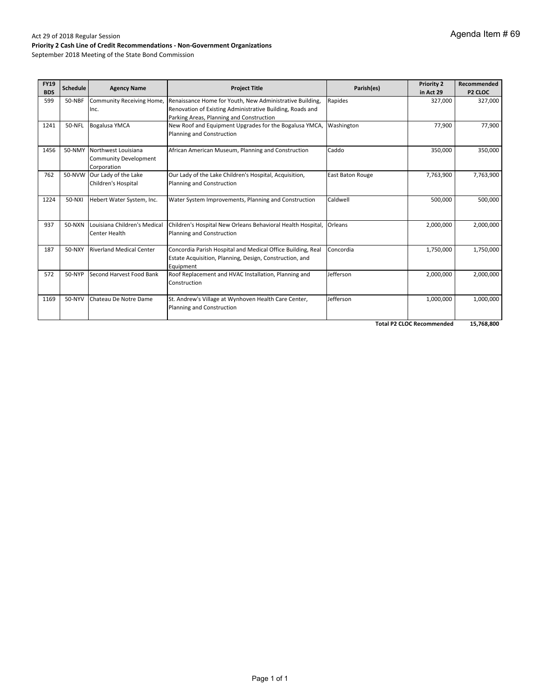#### Act 29 of 2018 Regular Session **Priority 2 Cash Line of Credit Recommendations ‐ Non‐Government Organizations**

September 2018 Meeting of the State Bond Commission

| <b>FY19</b><br><b>BDS</b> | <b>Schedule</b> | <b>Agency Name</b>                                          | <b>Project Title</b>                                                                                                                                              | Parish(es)       | <b>Priority 2</b><br>in Act 29 | Recommended<br>P <sub>2</sub> CLOC |
|---------------------------|-----------------|-------------------------------------------------------------|-------------------------------------------------------------------------------------------------------------------------------------------------------------------|------------------|--------------------------------|------------------------------------|
| 599                       | 50-NBF          | Community Receiving Home,<br>Inc.                           | Renaissance Home for Youth, New Administrative Building,<br>Renovation of Existing Administrative Building, Roads and<br>Parking Areas, Planning and Construction | Rapides          | 327,000                        | 327,000                            |
| 1241                      | 50-NFL          | <b>Bogalusa YMCA</b>                                        | New Roof and Equipment Upgrades for the Bogalusa YMCA,<br>Planning and Construction                                                                               | Washington       | 77,900                         | 77,900                             |
| 1456                      | 50-NMY          | Northwest Louisiana<br>Community Development<br>Corporation | African American Museum, Planning and Construction                                                                                                                | Caddo            | 350,000                        | 350,000                            |
| 762                       | 50-NVW          | Our Lady of the Lake<br>Children's Hospital                 | Our Lady of the Lake Children's Hospital, Acquisition,<br>Planning and Construction                                                                               | East Baton Rouge | 7,763,900                      | 7,763,900                          |
| 1224                      | 50-NXI          | Hebert Water System, Inc.                                   | Water System Improvements, Planning and Construction                                                                                                              | Caldwell         | 500,000                        | 500,000                            |
| 937                       | 50-NXN          | Louisiana Children's Medical<br>Center Health               | Children's Hospital New Orleans Behavioral Health Hospital,<br>Planning and Construction                                                                          | Orleans          | 2,000,000                      | 2,000,000                          |
| 187                       | 50-NXY          | <b>Riverland Medical Center</b>                             | Concordia Parish Hospital and Medical Office Building, Real<br>Estate Acquisition, Planning, Design, Construction, and<br>Equipment                               | Concordia        | 1,750,000                      | 1,750,000                          |
| 572                       | 50-NYP          | Second Harvest Food Bank                                    | Roof Replacement and HVAC Installation, Planning and<br>Construction                                                                                              | Jefferson        | 2,000,000                      | 2,000,000                          |
| 1169                      | 50-NYV          | Chateau De Notre Dame                                       | St. Andrew's Village at Wynhoven Health Care Center,<br>Planning and Construction                                                                                 | Jefferson        | 1,000,000                      | 1,000,000                          |

**Total P2 CLOC Recommended 15,768,800**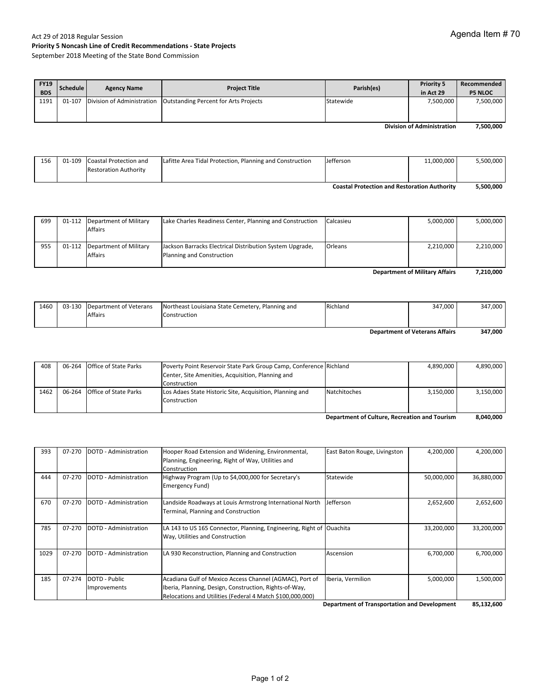#### Act 29 of 2018 Regular Session **Priority 5 Noncash Line of Credit Recommendations ‐ State Projects** September 2018 Meeting of the State Bond Commission

| <b>FY19</b><br><b>BDS</b> | Schedule | <b>Agency Name</b> | <b>Project Title</b>                                               | Parish(es) | <b>Priority 5</b><br>in Act 29 | Recommended<br><b>P5 NLOC</b> |
|---------------------------|----------|--------------------|--------------------------------------------------------------------|------------|--------------------------------|-------------------------------|
| 1191                      | 01-107   |                    | Division of Administration   Outstanding Percent for Arts Projects | Statewide  | 7,500,000                      | 7,500,000                     |

**7,500,000 Division of Administration**

| 156                                                 |  | 01-109 Coastal Protection and | Lafitte Area Tidal Protection, Planning and Construction | Jefferson | 11,000,000 | 5.500.000 |
|-----------------------------------------------------|--|-------------------------------|----------------------------------------------------------|-----------|------------|-----------|
|                                                     |  | <b>Restoration Authority</b>  |                                                          |           |            |           |
|                                                     |  |                               |                                                          |           |            |           |
| <b>Coastal Protection and Restoration Authority</b> |  |                               |                                                          | 5.500.000 |            |           |

| 699                                   |  | 01-112 Department of Military<br><b>Affairs</b> | Lake Charles Readiness Center, Planning and Construction                              | Calcasieu | 5,000,000 | 5,000,000 |
|---------------------------------------|--|-------------------------------------------------|---------------------------------------------------------------------------------------|-----------|-----------|-----------|
|                                       |  |                                                 |                                                                                       |           |           |           |
| 955                                   |  | 01-112 Department of Military<br><b>Affairs</b> | Jackson Barracks Electrical Distribution System Upgrade,<br>Planning and Construction | Orleans   | 2,210,000 | 2,210,000 |
| <b>Department of Military Affairs</b> |  |                                                 |                                                                                       |           | 7,210,000 |           |

| 1460                                  |  | 03-130 Department of Veterans | Northeast Louisiana State Cemetery, Planning and | Richland | 347.000 | 347,000 |
|---------------------------------------|--|-------------------------------|--------------------------------------------------|----------|---------|---------|
|                                       |  | <b>Affairs</b>                | Construction                                     |          |         |         |
| <b>Department of Veterans Affairs</b> |  |                               |                                                  | 347,000  |         |         |

|  |                                                              |                                                                                                               | 4.890.000                                                                          | 4,890,000 |
|--|--------------------------------------------------------------|---------------------------------------------------------------------------------------------------------------|------------------------------------------------------------------------------------|-----------|
|  |                                                              |                                                                                                               |                                                                                    |           |
|  | Construction                                                 |                                                                                                               |                                                                                    |           |
|  |                                                              |                                                                                                               | 3.150.000                                                                          | 3,150,000 |
|  | Construction                                                 |                                                                                                               |                                                                                    |           |
|  |                                                              |                                                                                                               |                                                                                    |           |
|  | 06-264 Office of State Parks<br>06-264 Office of State Parks | Center, Site Amenities, Acquisition, Planning and<br>Los Adaes State Historic Site, Acquisition, Planning and | Poverty Point Reservoir State Park Group Camp, Conference Richland<br>Natchitoches |           |

**8,040,000 Department of Culture, Recreation and Tourism**

| 393  | 07-270 | DOTD - Administration | Hooper Road Extension and Widening, Environmental,                   | East Baton Rouge, Livingston | 4,200,000  | 4,200,000  |
|------|--------|-----------------------|----------------------------------------------------------------------|------------------------------|------------|------------|
|      |        |                       | Planning, Engineering, Right of Way, Utilities and                   |                              |            |            |
|      |        |                       | Construction                                                         |                              |            |            |
| 444  | 07-270 | DOTD - Administration | Highway Program (Up to \$4,000,000 for Secretary's                   | Statewide                    | 50,000,000 | 36,880,000 |
|      |        |                       | Emergency Fund)                                                      |                              |            |            |
|      |        |                       |                                                                      |                              |            |            |
| 670  | 07-270 | DOTD - Administration | Landside Roadways at Louis Armstrong International North             | Jefferson                    | 2,652,600  | 2,652,600  |
|      |        |                       | Terminal, Planning and Construction                                  |                              |            |            |
|      |        |                       |                                                                      |                              |            |            |
| 785  | 07-270 | DOTD - Administration | LA 143 to US 165 Connector, Planning, Engineering, Right of Ouachita |                              | 33,200,000 | 33,200,000 |
|      |        |                       | Way, Utilities and Construction                                      |                              |            |            |
|      |        |                       |                                                                      |                              |            |            |
| 1029 | 07-270 | DOTD - Administration | LA 930 Reconstruction, Planning and Construction                     | Ascension                    | 6,700,000  | 6,700,000  |
|      |        |                       |                                                                      |                              |            |            |
|      |        |                       |                                                                      |                              |            |            |
| 185  | 07-274 | DOTD - Public         | Acadiana Gulf of Mexico Access Channel (AGMAC), Port of              | Iberia, Vermilion            | 5,000,000  | 1,500,000  |
|      |        | Improvements          | Iberia, Planning, Design, Construction, Rights-of-Way,               |                              |            |            |
|      |        |                       | Relocations and Utilities (Federal 4 Match \$100,000,000)            |                              |            |            |

**85,132,600 Department of Transportation and Development**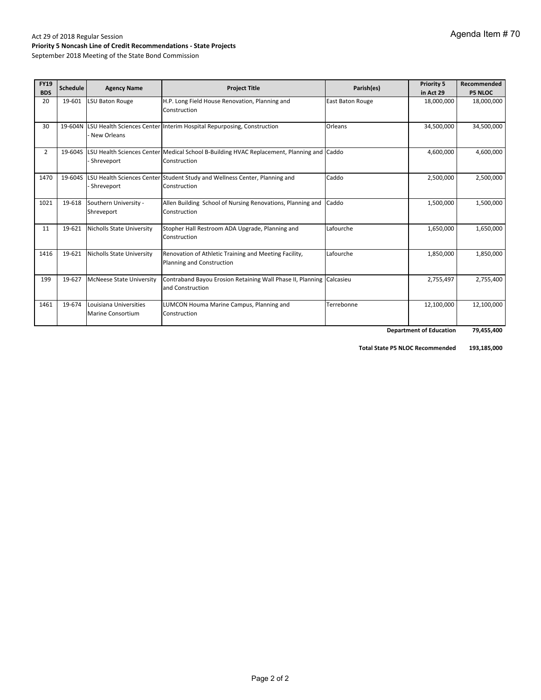# Act 29 of 2018 Regular Session **Priority 5 Noncash Line of Credit Recommendations ‐ State Projects**

September 2018 Meeting of the State Bond Commission

| <b>FY19</b><br><b>BDS</b> | Schedule | <b>Agency Name</b>                                 | <b>Project Title</b>                                                                                              | Parish(es)       | <b>Priority 5</b><br>in Act 29 | Recommended<br><b>P5 NLOC</b> |
|---------------------------|----------|----------------------------------------------------|-------------------------------------------------------------------------------------------------------------------|------------------|--------------------------------|-------------------------------|
| 20                        | 19-601   | LSU Baton Rouge                                    | H.P. Long Field House Renovation, Planning and<br>Construction                                                    | East Baton Rouge | 18,000,000                     | 18,000,000                    |
| 30                        | 19-604N  | New Orleans                                        | LSU Health Sciences Center Interim Hospital Repurposing, Construction                                             | Orleans          | 34,500,000                     | 34,500,000                    |
| $\overline{2}$            |          | Shreveport                                         | 19-6045 LSU Health Sciences Center Medical School B-Building HVAC Replacement, Planning and Caddo<br>Construction |                  | 4,600,000                      | 4,600,000                     |
| 1470                      | 19-604S  | Shreveport                                         | LSU Health Sciences Center Student Study and Wellness Center, Planning and<br>Construction                        | Caddo            | 2,500,000                      | 2,500,000                     |
| 1021                      | 19-618   | Southern University -<br>Shreveport                | Allen Building School of Nursing Renovations, Planning and<br>Construction                                        | Caddo            | 1,500,000                      | 1,500,000                     |
| 11                        | 19-621   | <b>Nicholls State University</b>                   | Stopher Hall Restroom ADA Upgrade, Planning and<br>Construction                                                   | Lafourche        | 1,650,000                      | 1,650,000                     |
| 1416                      | 19-621   | <b>Nicholls State University</b>                   | Renovation of Athletic Training and Meeting Facility,<br>Planning and Construction                                | Lafourche        | 1,850,000                      | 1,850,000                     |
| 199                       | 19-627   | <b>McNeese State University</b>                    | Contraband Bayou Erosion Retaining Wall Phase II, Planning Calcasieu<br>and Construction                          |                  | 2,755,497                      | 2,755,400                     |
| 1461                      | 19-674   | Louisiana Universities<br><b>Marine Consortium</b> | LUMCON Houma Marine Campus, Planning and<br>Construction                                                          | Terrebonne       | 12,100,000                     | 12,100,000                    |
|                           |          |                                                    |                                                                                                                   |                  | <b>Department of Education</b> | 79,455,400                    |

 **193,185,000 Total State P5 NLOC Recommended**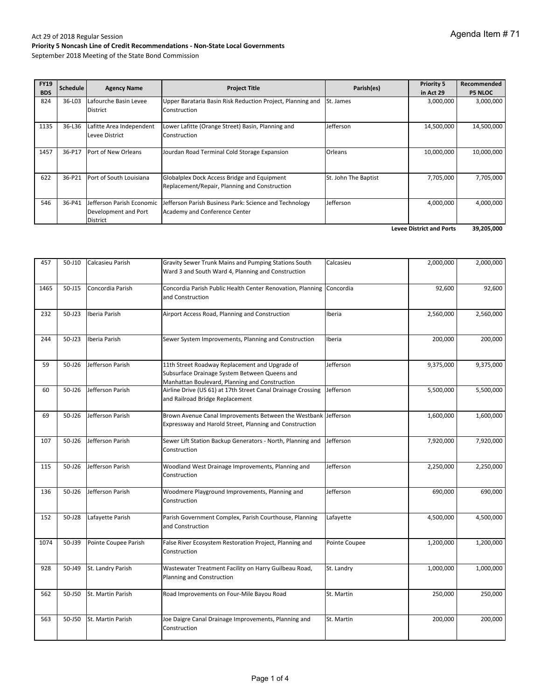| <b>FY19</b><br><b>BDS</b> | Schedule | <b>Agency Name</b>                                            | <b>Project Title</b>                                                                         | Parish(es)           | <b>Priority 5</b><br>in Act 29  | Recommended<br><b>P5 NLOC</b> |
|---------------------------|----------|---------------------------------------------------------------|----------------------------------------------------------------------------------------------|----------------------|---------------------------------|-------------------------------|
| 824                       | 36-L03   | Lafourche Basin Levee<br><b>District</b>                      | Upper Barataria Basin Risk Reduction Project, Planning and<br>Construction                   | St. James            | 3,000,000                       | 3,000,000                     |
| 1135                      | 36-L36   | Lafitte Area Independent<br>Levee District                    | Lower Lafitte (Orange Street) Basin, Planning and<br>Construction                            | Jefferson            | 14,500,000                      | 14,500,000                    |
| 1457                      | 36-P17   | Port of New Orleans                                           | Jourdan Road Terminal Cold Storage Expansion                                                 | <b>Orleans</b>       | 10,000,000                      | 10,000,000                    |
| 622                       | 36-P21   | Port of South Louisiana                                       | Globalplex Dock Access Bridge and Equipment<br>Replacement/Repair, Planning and Construction | St. John The Baptist | 7,705,000                       | 7,705,000                     |
| 546                       | 36-P41   | Jefferson Parish Economic<br>Development and Port<br>District | Jefferson Parish Business Park: Science and Technology<br>Academy and Conference Center      | Jefferson            | 4,000,000                       | 4,000,000                     |
|                           |          |                                                               |                                                                                              |                      | <b>Levee District and Ports</b> | 39,205,000                    |

| 457  | 50-J10     | Calcasieu Parish     | Gravity Sewer Trunk Mains and Pumping Stations South<br>Ward 3 and South Ward 4, Planning and Construction                                        | Calcasieu     | 2,000,000 | 2,000,000 |
|------|------------|----------------------|---------------------------------------------------------------------------------------------------------------------------------------------------|---------------|-----------|-----------|
| 1465 | 50-J15     | Concordia Parish     | Concordia Parish Public Health Center Renovation, Planning<br>and Construction                                                                    | Concordia     | 92,600    | 92,600    |
| 232  | $50 - 123$ | Iberia Parish        | Airport Access Road, Planning and Construction                                                                                                    | Iberia        | 2,560,000 | 2,560,000 |
| 244  | 50-J23     | Iberia Parish        | Sewer System Improvements, Planning and Construction                                                                                              | Iberia        | 200,000   | 200,000   |
| 59   | 50-J26     | Jefferson Parish     | 11th Street Roadway Replacement and Upgrade of<br>Subsurface Drainage System Between Queens and<br>Manhattan Boulevard, Planning and Construction | Jefferson     | 9,375,000 | 9,375,000 |
| 60   | 50-J26     | Jefferson Parish     | Airline Drive (US 61) at 17th Street Canal Drainage Crossing<br>and Railroad Bridge Replacement                                                   | Jefferson     | 5,500,000 | 5,500,000 |
| 69   | 50-J26     | Jefferson Parish     | Brown Avenue Canal Improvements Between the Westbank Jefferson<br>Expressway and Harold Street, Planning and Construction                         |               | 1,600,000 | 1,600,000 |
| 107  | 50-J26     | Jefferson Parish     | Sewer Lift Station Backup Generators - North, Planning and<br>Construction                                                                        | Jefferson     | 7,920,000 | 7,920,000 |
| 115  | 50-J26     | Jefferson Parish     | Woodland West Drainage Improvements, Planning and<br>Construction                                                                                 | Jefferson     | 2,250,000 | 2,250,000 |
| 136  | 50-J26     | Jefferson Parish     | Woodmere Playground Improvements, Planning and<br>Construction                                                                                    | Jefferson     | 690,000   | 690,000   |
| 152  | 50-J28     | Lafayette Parish     | Parish Government Complex, Parish Courthouse, Planning<br>and Construction                                                                        | Lafayette     | 4,500,000 | 4,500,000 |
| 1074 | 50-J39     | Pointe Coupee Parish | False River Ecosystem Restoration Project, Planning and<br>Construction                                                                           | Pointe Coupee | 1,200,000 | 1,200,000 |
| 928  | 50-J49     | St. Landry Parish    | Wastewater Treatment Facility on Harry Guilbeau Road,<br>Planning and Construction                                                                | St. Landry    | 1,000,000 | 1,000,000 |
| 562  | 50-J50     | St. Martin Parish    | Road Improvements on Four-Mile Bayou Road                                                                                                         | St. Martin    | 250,000   | 250,000   |
| 563  | 50-J50     | St. Martin Parish    | Joe Daigre Canal Drainage Improvements, Planning and<br>Construction                                                                              | St. Martin    | 200,000   | 200,000   |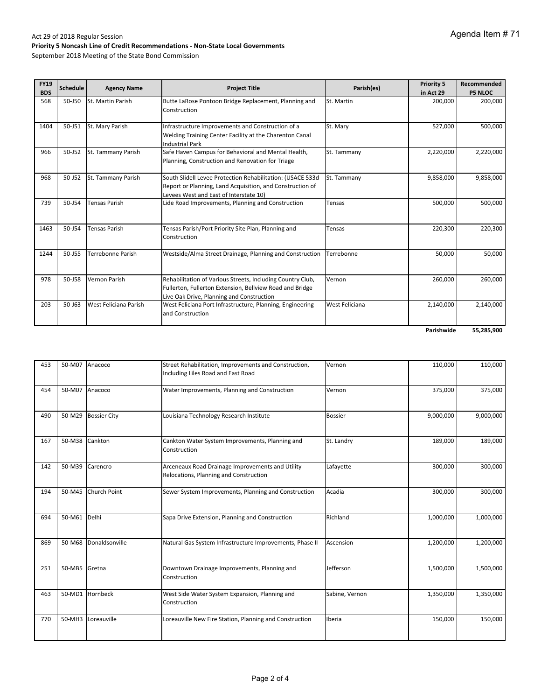| <b>FY19</b><br><b>BDS</b> | <b>Schedule</b> | <b>Agency Name</b>    | <b>Project Title</b>                                                                                                                                                | Parish(es)     | <b>Priority 5</b><br>in Act 29 | Recommended<br><b>P5 NLOC</b> |
|---------------------------|-----------------|-----------------------|---------------------------------------------------------------------------------------------------------------------------------------------------------------------|----------------|--------------------------------|-------------------------------|
| 568                       | 50-J50          | St. Martin Parish     | Butte LaRose Pontoon Bridge Replacement, Planning and<br>Construction                                                                                               | St. Martin     | 200,000                        | 200,000                       |
| 1404                      | 50-J51          | St. Mary Parish       | Infrastructure Improvements and Construction of a<br>Welding Training Center Facility at the Charenton Canal<br><b>Industrial Park</b>                              | St. Mary       | 527,000                        | 500,000                       |
| 966                       | 50-J52          | St. Tammany Parish    | Safe Haven Campus for Behavioral and Mental Health,<br>Planning, Construction and Renovation for Triage                                                             | St. Tammany    | 2,220,000                      | 2,220,000                     |
| 968                       | 50-J52          | St. Tammany Parish    | South Slidell Levee Protection Rehabilitation: (USACE 533d<br>Report or Planning, Land Acquisition, and Construction of<br>Levees West and East of Interstate 10)   | St. Tammany    | 9,858,000                      | 9,858,000                     |
| 739                       | 50-J54          | <b>Tensas Parish</b>  | Lide Road Improvements, Planning and Construction                                                                                                                   | Tensas         | 500,000                        | 500,000                       |
| 1463                      | 50-J54          | <b>Tensas Parish</b>  | Tensas Parish/Port Priority Site Plan, Planning and<br>Construction                                                                                                 | Tensas         | 220,300                        | 220,300                       |
| 1244                      | 50-J55          | Terrebonne Parish     | Westside/Alma Street Drainage, Planning and Construction                                                                                                            | Terrebonne     | 50,000                         | 50,000                        |
| 978                       | 50-J58          | Vernon Parish         | Rehabilitation of Various Streets, Including Country Club,<br>Fullerton, Fullerton Extension, Bellview Road and Bridge<br>Live Oak Drive, Planning and Construction | Vernon         | 260,000                        | 260,000                       |
| 203                       | $50 - 163$      | West Feliciana Parish | West Feliciana Port Infrastructure, Planning, Engineering<br>and Construction                                                                                       | West Feliciana | 2,140,000                      | 2,140,000                     |
|                           |                 |                       |                                                                                                                                                                     |                | Parishwide                     | 55,285,900                    |

| 453 |               | 50-M07 Anacoco      | Street Rehabilitation, Improvements and Construction,<br>Including Liles Road and East Road | Vernon         | 110,000   | 110,000   |
|-----|---------------|---------------------|---------------------------------------------------------------------------------------------|----------------|-----------|-----------|
| 454 |               | 50-M07 Anacoco      | Water Improvements, Planning and Construction                                               | Vernon         | 375,000   | 375,000   |
| 490 | 50-M29        | <b>Bossier City</b> | Louisiana Technology Research Institute                                                     | <b>Bossier</b> | 9,000,000 | 9,000,000 |
| 167 | 50-M38        | Cankton             | Cankton Water System Improvements, Planning and<br>Construction                             | St. Landry     | 189,000   | 189,000   |
| 142 | 50-M39        | Carencro            | Arceneaux Road Drainage Improvements and Utility<br>Relocations, Planning and Construction  | Lafayette      | 300,000   | 300,000   |
| 194 | 50-M45        | Church Point        | Sewer System Improvements, Planning and Construction                                        | Acadia         | 300,000   | 300,000   |
| 694 | 50-M61        | Delhi               | Sapa Drive Extension, Planning and Construction                                             | Richland       | 1,000,000 | 1,000,000 |
| 869 | 50-M68        | Donaldsonville      | Natural Gas System Infrastructure Improvements, Phase II                                    | Ascension      | 1,200,000 | 1,200,000 |
| 251 | 50-MB5 Gretna |                     | Downtown Drainage Improvements, Planning and<br>Construction                                | Jefferson      | 1,500,000 | 1,500,000 |
| 463 |               | 50-MD1 Hornbeck     | West Side Water System Expansion, Planning and<br>Construction                              | Sabine, Vernon | 1,350,000 | 1,350,000 |
| 770 | 50-MH3        | Loreauville         | Loreauville New Fire Station, Planning and Construction                                     | Iberia         | 150,000   | 150,000   |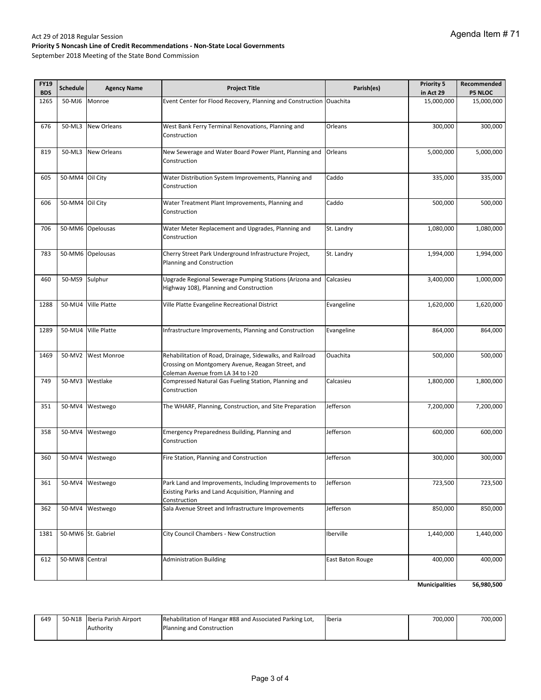| <b>FY19</b><br><b>BDS</b> | <b>Schedule</b> | <b>Agency Name</b>  | <b>Project Title</b>                                                                                                                                | Parish(es)       | Priority 5<br>in Act 29 | Recommended<br><b>P5 NLOC</b> |
|---------------------------|-----------------|---------------------|-----------------------------------------------------------------------------------------------------------------------------------------------------|------------------|-------------------------|-------------------------------|
| 1265                      | 50-MJ6          | Monroe              | Event Center for Flood Recovery, Planning and Construction Ouachita                                                                                 |                  | 15,000,000              | 15,000,000                    |
| 676                       | 50-ML3          | <b>New Orleans</b>  | West Bank Ferry Terminal Renovations, Planning and<br>Construction                                                                                  | Orleans          | 300,000                 | 300,000                       |
| 819                       | 50-ML3          | <b>New Orleans</b>  | New Sewerage and Water Board Power Plant, Planning and<br>Construction                                                                              | Orleans          | 5,000,000               | 5,000,000                     |
| 605                       | 50-MM4 Oil City |                     | Water Distribution System Improvements, Planning and<br>Construction                                                                                | Caddo            | 335,000                 | 335,000                       |
| 606                       | 50-MM4 Oil City |                     | Water Treatment Plant Improvements, Planning and<br>Construction                                                                                    | Caddo            | 500,000                 | 500,000                       |
| 706                       |                 | 50-MM6 Opelousas    | Water Meter Replacement and Upgrades, Planning and<br>Construction                                                                                  | St. Landry       | 1,080,000               | 1,080,000                     |
| 783                       |                 | 50-MM6 Opelousas    | Cherry Street Park Underground Infrastructure Project,<br>Planning and Construction                                                                 | St. Landry       | 1,994,000               | 1,994,000                     |
| 460                       | 50-MS9          | Sulphur             | Upgrade Regional Sewerage Pumping Stations (Arizona and<br>Highway 108), Planning and Construction                                                  | Calcasieu        | 3,400,000               | 1,000,000                     |
| 1288                      |                 | 50-MU4 Ville Platte | Ville Platte Evangeline Recreational District                                                                                                       | Evangeline       | 1,620,000               | 1,620,000                     |
| 1289                      |                 | 50-MU4 Ville Platte | Infrastructure Improvements, Planning and Construction                                                                                              | Evangeline       | 864,000                 | 864,000                       |
| 1469                      | 50-MV2          | <b>West Monroe</b>  | Rehabilitation of Road, Drainage, Sidewalks, and Railroad<br>Crossing on Montgomery Avenue, Reagan Street, and<br>Coleman Avenue from LA 34 to I-20 | Ouachita         | 500,000                 | 500,000                       |
| 749                       |                 | 50-MV3 Westlake     | Compressed Natural Gas Fueling Station, Planning and<br>Construction                                                                                | Calcasieu        | 1,800,000               | 1,800,000                     |
| 351                       |                 | 50-MV4 Westwego     | The WHARF, Planning, Construction, and Site Preparation                                                                                             | Jefferson        | 7,200,000               | 7,200,000                     |
| 358                       |                 | 50-MV4 Westwego     | Emergency Preparedness Building, Planning and<br>Construction                                                                                       | Jefferson        | 600,000                 | 600,000                       |
| 360                       | 50-MV4          | Westwego            | Fire Station, Planning and Construction                                                                                                             | Jefferson        | 300,000                 | 300,000                       |
| 361                       | 50-MV4          | Westwego            | Park Land and Improvements, Including Improvements to<br>Existing Parks and Land Acquisition, Planning and<br>Construction                          | Jefferson        | 723,500                 | 723,500                       |
| 362                       |                 | 50-MV4 Westwego     | Sala Avenue Street and Infrastructure Improvements                                                                                                  | Jefferson        | 850,000                 | 850,000                       |
| 1381                      |                 | 50-MW6 St. Gabriel  | City Council Chambers - New Construction                                                                                                            | Iberville        | 1,440,000               | 1,440,000                     |
| 612                       | 50-MW8 Central  |                     | <b>Administration Building</b>                                                                                                                      | East Baton Rouge | 400,000                 | 400,000                       |
|                           |                 |                     |                                                                                                                                                     |                  | <b>Municipalities</b>   | 56,980,500                    |

| 649 | 50-N18 Iberia Parish Airport | Rehabilitation of Hangar #88 and Associated Parking Lot, | <b>Ilberia</b> | 700.000 | 700.000 |
|-----|------------------------------|----------------------------------------------------------|----------------|---------|---------|
|     | Authority                    | <b>Planning and Construction</b>                         |                |         |         |
|     |                              |                                                          |                |         |         |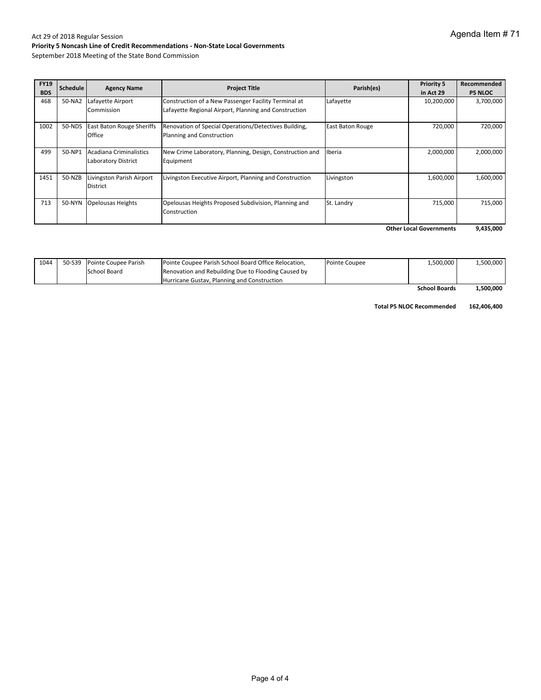September 2018 Meeting of the State Bond Commission

| <b>FY19</b><br><b>BDS</b> | <b>Schedule</b> | <b>Agency Name</b>               | <b>Project Title</b>                                     | Parish(es)              | <b>Priority 5</b><br>in Act 29 | Recommended<br><b>P5 NLOC</b> |
|---------------------------|-----------------|----------------------------------|----------------------------------------------------------|-------------------------|--------------------------------|-------------------------------|
| 468                       | 50-NA2          | Lafayette Airport                | Construction of a New Passenger Facility Terminal at     | Lafayette               | 10,200,000                     | 3,700,000                     |
|                           |                 | Commission                       | Lafayette Regional Airport, Planning and Construction    |                         |                                |                               |
| 1002                      | 50-NDS          | <b>East Baton Rouge Sheriffs</b> | Renovation of Special Operations/Detectives Building,    | <b>East Baton Rouge</b> | 720,000                        | 720,000                       |
|                           |                 | Office                           | Planning and Construction                                |                         |                                |                               |
| 499                       | 50-NP1          | Acadiana Criminalistics          | New Crime Laboratory, Planning, Design, Construction and | Iberia                  | 2,000,000                      | 2,000,000                     |
|                           |                 | <b>Laboratory District</b>       | Equipment                                                |                         |                                |                               |
| 1451                      | 50-NZB          | Livingston Parish Airport        | Livingston Executive Airport, Planning and Construction  | Livingston              | 1,600,000                      | 1,600,000                     |
|                           |                 | <b>District</b>                  |                                                          |                         |                                |                               |
| 713                       | 50-NYN          | <b>Opelousas Heights</b>         | Opelousas Heights Proposed Subdivision, Planning and     | St. Landry              | 715,000                        | 715,000                       |
|                           |                 |                                  | Construction                                             |                         |                                |                               |
|                           |                 |                                  |                                                          |                         | .                              |                               |

**9,435,000 Other Local Governments**

| 1044 | 50-S39 Pointe Coupee Parish | Pointe Coupee Parish School Board Office Relocation, | Pointe Coupee | 1.500.000            | 1,500,000 |
|------|-----------------------------|------------------------------------------------------|---------------|----------------------|-----------|
|      | School Board                | Renovation and Rebuilding Due to Flooding Caused by  |               |                      |           |
|      |                             | Hurricane Gustay, Planning and Construction          |               |                      |           |
|      |                             |                                                      |               | <b>School Boards</b> | 1.500.000 |

**Total P5 NLOC Recommended 162,406,400**